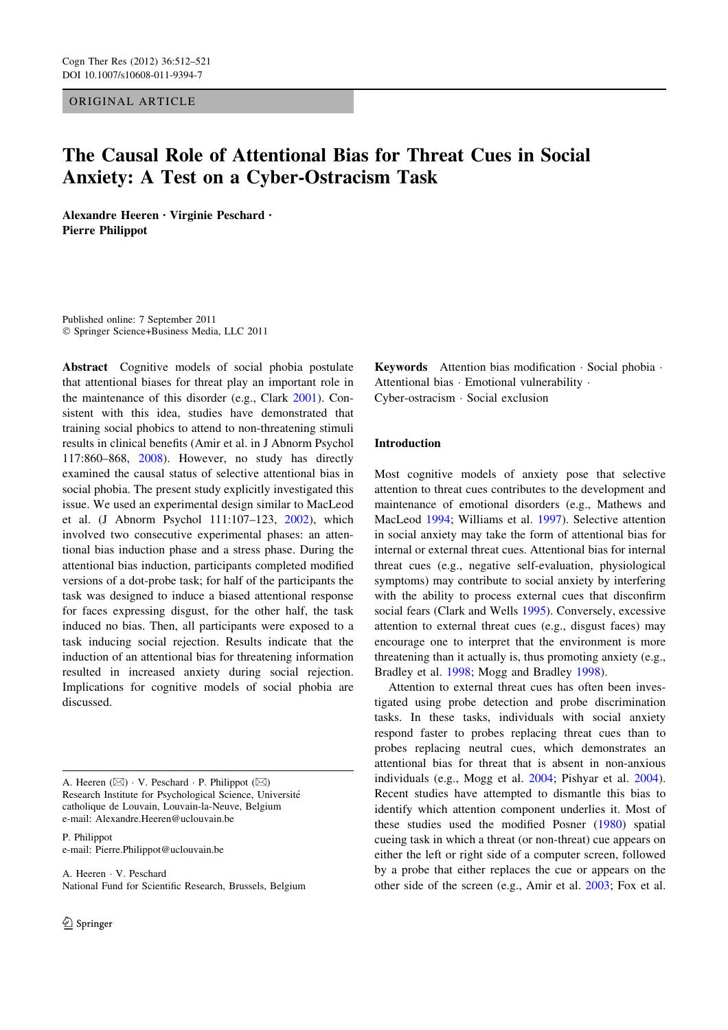ORIGINAL ARTICLE

# The Causal Role of Attentional Bias for Threat Cues in Social Anxiety: A Test on a Cyber-Ostracism Task

Alexandre Heeren • Virginie Peschard • Pierre Philippot

Published online: 7 September 2011 ! Springer Science+Business Media, LLC 2011

Abstract Cognitive models of social phobia postulate that attentional biases for threat play an important role in the maintenance of this disorder (e.g., Clark 2001). Consistent with this idea, studies have demonstrated that training social phobics to attend to non-threatening stimuli results in clinical benefits (Amir et al. in J Abnorm Psychol 117:860–868, 2008). However, no study has directly examined the causal status of selective attentional bias in social phobia. The present study explicitly investigated this issue. We used an experimental design similar to MacLeod et al. (J Abnorm Psychol 111:107–123, 2002), which involved two consecutive experimental phases: an attentional bias induction phase and a stress phase. During the attentional bias induction, participants completed modified versions of a dot-probe task; for half of the participants the task was designed to induce a biased attentional response for faces expressing disgust, for the other half, the task induced no bias. Then, all participants were exposed to a task inducing social rejection. Results indicate that the induction of an attentional bias for threatening information resulted in increased anxiety during social rejection. Implications for cognitive models of social phobia are discussed.

A. Heeren  $(\boxtimes) \cdot V$ . Peschard  $\cdot P$ . Philippot  $(\boxtimes)$ Research Institute for Psychological Science, Universite´ catholique de Louvain, Louvain-la-Neuve, Belgium e-mail: Alexandre.Heeren@uclouvain.be

P. Philippot e-mail: Pierre.Philippot@uclouvain.be

A. Heeren · V. Peschard National Fund for Scientific Research, Brussels, Belgium Keywords Attention bias modification · Social phobia · Attentional bias · Emotional vulnerability · Cyber-ostracism ! Social exclusion

## Introduction

Most cognitive models of anxiety pose that selective attention to threat cues contributes to the development and maintenance of emotional disorders (e.g., Mathews and MacLeod 1994; Williams et al. 1997). Selective attention in social anxiety may take the form of attentional bias for internal or external threat cues. Attentional bias for internal threat cues (e.g., negative self-evaluation, physiological symptoms) may contribute to social anxiety by interfering with the ability to process external cues that disconfirm social fears (Clark and Wells 1995). Conversely, excessive attention to external threat cues (e.g., disgust faces) may encourage one to interpret that the environment is more threatening than it actually is, thus promoting anxiety (e.g., Bradley et al. 1998; Mogg and Bradley 1998).

Attention to external threat cues has often been investigated using probe detection and probe discrimination tasks. In these tasks, individuals with social anxiety respond faster to probes replacing threat cues than to probes replacing neutral cues, which demonstrates an attentional bias for threat that is absent in non-anxious individuals (e.g., Mogg et al. 2004; Pishyar et al. 2004). Recent studies have attempted to dismantle this bias to identify which attention component underlies it. Most of these studies used the modified Posner (1980) spatial cueing task in which a threat (or non-threat) cue appears on either the left or right side of a computer screen, followed by a probe that either replaces the cue or appears on the other side of the screen (e.g., Amir et al. 2003; Fox et al.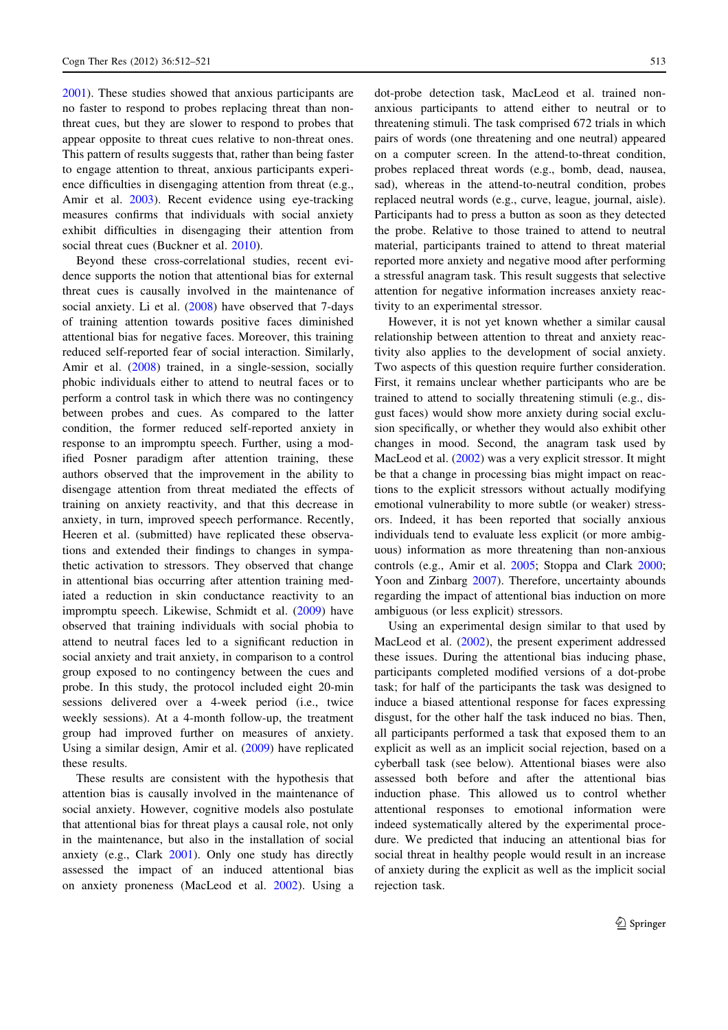2001). These studies showed that anxious participants are no faster to respond to probes replacing threat than nonthreat cues, but they are slower to respond to probes that appear opposite to threat cues relative to non-threat ones. This pattern of results suggests that, rather than being faster to engage attention to threat, anxious participants experience difficulties in disengaging attention from threat (e.g., Amir et al. 2003). Recent evidence using eye-tracking measures confirms that individuals with social anxiety exhibit difficulties in disengaging their attention from social threat cues (Buckner et al. 2010).

Beyond these cross-correlational studies, recent evidence supports the notion that attentional bias for external threat cues is causally involved in the maintenance of social anxiety. Li et al. (2008) have observed that 7-days of training attention towards positive faces diminished attentional bias for negative faces. Moreover, this training reduced self-reported fear of social interaction. Similarly, Amir et al. (2008) trained, in a single-session, socially phobic individuals either to attend to neutral faces or to perform a control task in which there was no contingency between probes and cues. As compared to the latter condition, the former reduced self-reported anxiety in response to an impromptu speech. Further, using a modified Posner paradigm after attention training, these authors observed that the improvement in the ability to disengage attention from threat mediated the effects of training on anxiety reactivity, and that this decrease in anxiety, in turn, improved speech performance. Recently, Heeren et al. (submitted) have replicated these observations and extended their findings to changes in sympathetic activation to stressors. They observed that change in attentional bias occurring after attention training mediated a reduction in skin conductance reactivity to an impromptu speech. Likewise, Schmidt et al. (2009) have observed that training individuals with social phobia to attend to neutral faces led to a significant reduction in social anxiety and trait anxiety, in comparison to a control group exposed to no contingency between the cues and probe. In this study, the protocol included eight 20-min sessions delivered over a 4-week period (i.e., twice weekly sessions). At a 4-month follow-up, the treatment group had improved further on measures of anxiety. Using a similar design, Amir et al. (2009) have replicated these results.

These results are consistent with the hypothesis that attention bias is causally involved in the maintenance of social anxiety. However, cognitive models also postulate that attentional bias for threat plays a causal role, not only in the maintenance, but also in the installation of social anxiety (e.g., Clark 2001). Only one study has directly assessed the impact of an induced attentional bias on anxiety proneness (MacLeod et al. 2002). Using a dot-probe detection task, MacLeod et al. trained nonanxious participants to attend either to neutral or to threatening stimuli. The task comprised 672 trials in which pairs of words (one threatening and one neutral) appeared on a computer screen. In the attend-to-threat condition, probes replaced threat words (e.g., bomb, dead, nausea, sad), whereas in the attend-to-neutral condition, probes replaced neutral words (e.g., curve, league, journal, aisle). Participants had to press a button as soon as they detected the probe. Relative to those trained to attend to neutral material, participants trained to attend to threat material reported more anxiety and negative mood after performing a stressful anagram task. This result suggests that selective attention for negative information increases anxiety reactivity to an experimental stressor.

However, it is not yet known whether a similar causal relationship between attention to threat and anxiety reactivity also applies to the development of social anxiety. Two aspects of this question require further consideration. First, it remains unclear whether participants who are be trained to attend to socially threatening stimuli (e.g., disgust faces) would show more anxiety during social exclusion specifically, or whether they would also exhibit other changes in mood. Second, the anagram task used by MacLeod et al. (2002) was a very explicit stressor. It might be that a change in processing bias might impact on reactions to the explicit stressors without actually modifying emotional vulnerability to more subtle (or weaker) stressors. Indeed, it has been reported that socially anxious individuals tend to evaluate less explicit (or more ambiguous) information as more threatening than non-anxious controls (e.g., Amir et al. 2005; Stoppa and Clark 2000; Yoon and Zinbarg 2007). Therefore, uncertainty abounds regarding the impact of attentional bias induction on more ambiguous (or less explicit) stressors.

Using an experimental design similar to that used by MacLeod et al. (2002), the present experiment addressed these issues. During the attentional bias inducing phase, participants completed modified versions of a dot-probe task; for half of the participants the task was designed to induce a biased attentional response for faces expressing disgust, for the other half the task induced no bias. Then, all participants performed a task that exposed them to an explicit as well as an implicit social rejection, based on a cyberball task (see below). Attentional biases were also assessed both before and after the attentional bias induction phase. This allowed us to control whether attentional responses to emotional information were indeed systematically altered by the experimental procedure. We predicted that inducing an attentional bias for social threat in healthy people would result in an increase of anxiety during the explicit as well as the implicit social rejection task.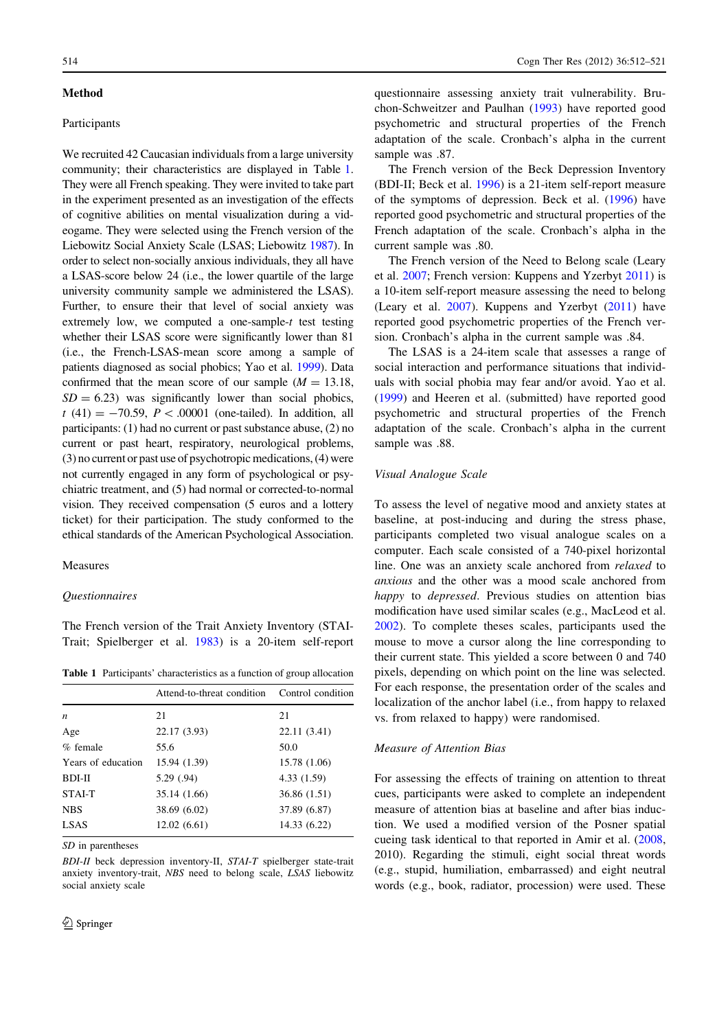## Method

## Participants

We recruited 42 Caucasian individuals from a large university community; their characteristics are displayed in Table 1. They were all French speaking. They were invited to take part in the experiment presented as an investigation of the effects of cognitive abilities on mental visualization during a videogame. They were selected using the French version of the Liebowitz Social Anxiety Scale (LSAS; Liebowitz 1987). In order to select non-socially anxious individuals, they all have a LSAS-score below 24 (i.e., the lower quartile of the large university community sample we administered the LSAS). Further, to ensure their that level of social anxiety was extremely low, we computed a one-sample-t test testing whether their LSAS score were significantly lower than 81 (i.e., the French-LSAS-mean score among a sample of patients diagnosed as social phobics; Yao et al. 1999). Data confirmed that the mean score of our sample  $(M = 13.18,$  $SD = 6.23$ ) was significantly lower than social phobics,  $t(41) = -70.59, P < .00001$  (one-tailed). In addition, all participants: (1) had no current or past substance abuse, (2) no current or past heart, respiratory, neurological problems, (3) no current or past use of psychotropic medications, (4) were not currently engaged in any form of psychological or psychiatric treatment, and (5) had normal or corrected-to-normal vision. They received compensation (5 euros and a lottery ticket) for their participation. The study conformed to the ethical standards of the American Psychological Association.

#### Measures

#### Questionnaires

The French version of the Trait Anxiety Inventory (STAI-Trait; Spielberger et al. 1983) is a 20-item self-report

Table 1 Participants' characteristics as a function of group allocation

|                    | Attend-to-threat condition | Control condition |  |
|--------------------|----------------------------|-------------------|--|
| $\boldsymbol{n}$   | 21                         | 21                |  |
| Age                | 22.17 (3.93)               | 22.11 (3.41)      |  |
| $%$ female         | 55.6                       | 50.0              |  |
| Years of education | 15.94 (1.39)               | 15.78 (1.06)      |  |
| BDI-II             | 5.29(94)                   | 4.33(1.59)        |  |
| STAI-T             | 35.14 (1.66)               | 36.86 (1.51)      |  |
| <b>NBS</b>         | 38.69 (6.02)               | 37.89 (6.87)      |  |
| <b>LSAS</b>        | 12.02(6.61)                | 14.33 (6.22)      |  |
|                    |                            |                   |  |

SD in parentheses

BDI-II beck depression inventory-II, STAI-T spielberger state-trait anxiety inventory-trait, NBS need to belong scale, LSAS liebowitz social anxiety scale

questionnaire assessing anxiety trait vulnerability. Bruchon-Schweitzer and Paulhan (1993) have reported good psychometric and structural properties of the French adaptation of the scale. Cronbach's alpha in the current sample was .87.

The French version of the Beck Depression Inventory (BDI-II; Beck et al. 1996) is a 21-item self-report measure of the symptoms of depression. Beck et al. (1996) have reported good psychometric and structural properties of the French adaptation of the scale. Cronbach's alpha in the current sample was .80.

The French version of the Need to Belong scale (Leary et al. 2007; French version: Kuppens and Yzerbyt 2011) is a 10-item self-report measure assessing the need to belong (Leary et al. 2007). Kuppens and Yzerbyt (2011) have reported good psychometric properties of the French version. Cronbach's alpha in the current sample was .84.

The LSAS is a 24-item scale that assesses a range of social interaction and performance situations that individuals with social phobia may fear and/or avoid. Yao et al. (1999) and Heeren et al. (submitted) have reported good psychometric and structural properties of the French adaptation of the scale. Cronbach's alpha in the current sample was .88.

## Visual Analogue Scale

To assess the level of negative mood and anxiety states at baseline, at post-inducing and during the stress phase, participants completed two visual analogue scales on a computer. Each scale consisted of a 740-pixel horizontal line. One was an anxiety scale anchored from relaxed to anxious and the other was a mood scale anchored from happy to depressed. Previous studies on attention bias modification have used similar scales (e.g., MacLeod et al. 2002). To complete theses scales, participants used the mouse to move a cursor along the line corresponding to their current state. This yielded a score between 0 and 740 pixels, depending on which point on the line was selected. For each response, the presentation order of the scales and localization of the anchor label (i.e., from happy to relaxed vs. from relaxed to happy) were randomised.

## Measure of Attention Bias

For assessing the effects of training on attention to threat cues, participants were asked to complete an independent measure of attention bias at baseline and after bias induction. We used a modified version of the Posner spatial cueing task identical to that reported in Amir et al. (2008, 2010). Regarding the stimuli, eight social threat words (e.g., stupid, humiliation, embarrassed) and eight neutral words (e.g., book, radiator, procession) were used. These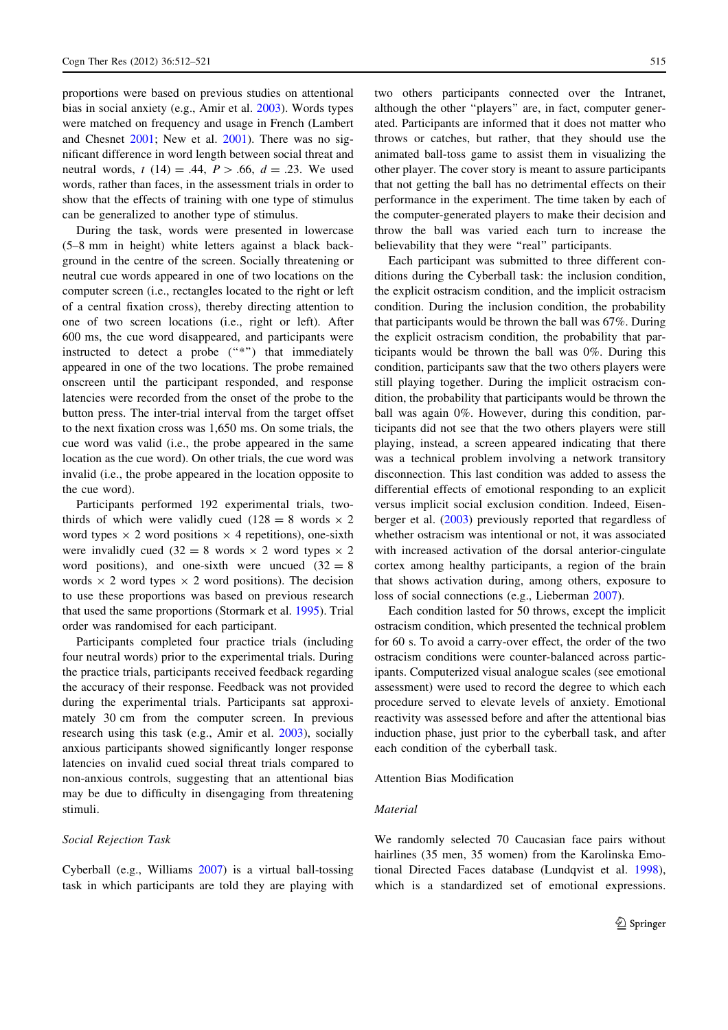proportions were based on previous studies on attentional bias in social anxiety (e.g., Amir et al. 2003). Words types were matched on frequency and usage in French (Lambert and Chesnet 2001; New et al. 2001). There was no significant difference in word length between social threat and neutral words,  $t(14) = .44$ ,  $P > .66$ ,  $d = .23$ . We used words, rather than faces, in the assessment trials in order to show that the effects of training with one type of stimulus can be generalized to another type of stimulus.

During the task, words were presented in lowercase (5–8 mm in height) white letters against a black background in the centre of the screen. Socially threatening or neutral cue words appeared in one of two locations on the computer screen (i.e., rectangles located to the right or left of a central fixation cross), thereby directing attention to one of two screen locations (i.e., right or left). After 600 ms, the cue word disappeared, and participants were instructed to detect a probe ("\*") that immediately appeared in one of the two locations. The probe remained onscreen until the participant responded, and response latencies were recorded from the onset of the probe to the button press. The inter-trial interval from the target offset to the next fixation cross was 1,650 ms. On some trials, the cue word was valid (i.e., the probe appeared in the same location as the cue word). On other trials, the cue word was invalid (i.e., the probe appeared in the location opposite to the cue word).

Participants performed 192 experimental trials, twothirds of which were validly cued (128 = 8 words  $\times$  2 word types  $\times$  2 word positions  $\times$  4 repetitions), one-sixth were invalidly cued (32 = 8 words  $\times$  2 word types  $\times$  2 word positions), and one-sixth were uncued  $(32 = 8)$ words  $\times$  2 word types  $\times$  2 word positions). The decision to use these proportions was based on previous research that used the same proportions (Stormark et al. 1995). Trial order was randomised for each participant.

Participants completed four practice trials (including four neutral words) prior to the experimental trials. During the practice trials, participants received feedback regarding the accuracy of their response. Feedback was not provided during the experimental trials. Participants sat approximately 30 cm from the computer screen. In previous research using this task (e.g., Amir et al. 2003), socially anxious participants showed significantly longer response latencies on invalid cued social threat trials compared to non-anxious controls, suggesting that an attentional bias may be due to difficulty in disengaging from threatening stimuli.

#### Social Rejection Task

Cyberball (e.g., Williams 2007) is a virtual ball-tossing task in which participants are told they are playing with two others participants connected over the Intranet, although the other ''players'' are, in fact, computer generated. Participants are informed that it does not matter who throws or catches, but rather, that they should use the animated ball-toss game to assist them in visualizing the other player. The cover story is meant to assure participants that not getting the ball has no detrimental effects on their performance in the experiment. The time taken by each of the computer-generated players to make their decision and throw the ball was varied each turn to increase the believability that they were "real" participants.

Each participant was submitted to three different conditions during the Cyberball task: the inclusion condition, the explicit ostracism condition, and the implicit ostracism condition. During the inclusion condition, the probability that participants would be thrown the ball was 67%. During the explicit ostracism condition, the probability that participants would be thrown the ball was 0%. During this condition, participants saw that the two others players were still playing together. During the implicit ostracism condition, the probability that participants would be thrown the ball was again 0%. However, during this condition, participants did not see that the two others players were still playing, instead, a screen appeared indicating that there was a technical problem involving a network transitory disconnection. This last condition was added to assess the differential effects of emotional responding to an explicit versus implicit social exclusion condition. Indeed, Eisenberger et al. (2003) previously reported that regardless of whether ostracism was intentional or not, it was associated with increased activation of the dorsal anterior-cingulate cortex among healthy participants, a region of the brain that shows activation during, among others, exposure to loss of social connections (e.g., Lieberman 2007).

Each condition lasted for 50 throws, except the implicit ostracism condition, which presented the technical problem for 60 s. To avoid a carry-over effect, the order of the two ostracism conditions were counter-balanced across participants. Computerized visual analogue scales (see emotional assessment) were used to record the degree to which each procedure served to elevate levels of anxiety. Emotional reactivity was assessed before and after the attentional bias induction phase, just prior to the cyberball task, and after each condition of the cyberball task.

#### Attention Bias Modification

# Material

We randomly selected 70 Caucasian face pairs without hairlines (35 men, 35 women) from the Karolinska Emotional Directed Faces database (Lundqvist et al. 1998), which is a standardized set of emotional expressions.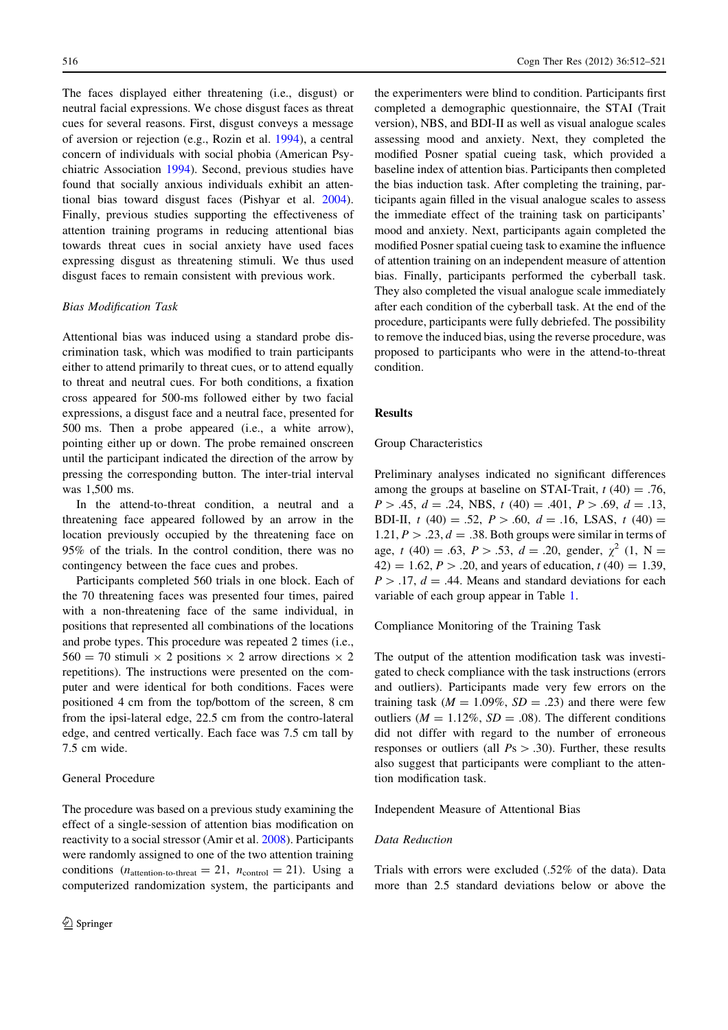The faces displayed either threatening (i.e., disgust) or neutral facial expressions. We chose disgust faces as threat cues for several reasons. First, disgust conveys a message of aversion or rejection (e.g., Rozin et al. 1994), a central concern of individuals with social phobia (American Psychiatric Association 1994). Second, previous studies have found that socially anxious individuals exhibit an attentional bias toward disgust faces (Pishyar et al. 2004). Finally, previous studies supporting the effectiveness of attention training programs in reducing attentional bias towards threat cues in social anxiety have used faces expressing disgust as threatening stimuli. We thus used disgust faces to remain consistent with previous work.

## Bias Modification Task

Attentional bias was induced using a standard probe discrimination task, which was modified to train participants either to attend primarily to threat cues, or to attend equally to threat and neutral cues. For both conditions, a fixation cross appeared for 500-ms followed either by two facial expressions, a disgust face and a neutral face, presented for 500 ms. Then a probe appeared (i.e., a white arrow), pointing either up or down. The probe remained onscreen until the participant indicated the direction of the arrow by pressing the corresponding button. The inter-trial interval was 1,500 ms.

In the attend-to-threat condition, a neutral and a threatening face appeared followed by an arrow in the location previously occupied by the threatening face on 95% of the trials. In the control condition, there was no contingency between the face cues and probes.

Participants completed 560 trials in one block. Each of the 70 threatening faces was presented four times, paired with a non-threatening face of the same individual, in positions that represented all combinations of the locations and probe types. This procedure was repeated 2 times (i.e.,  $560 = 70$  stimuli  $\times$  2 positions  $\times$  2 arrow directions  $\times$  2 repetitions). The instructions were presented on the computer and were identical for both conditions. Faces were positioned 4 cm from the top/bottom of the screen, 8 cm from the ipsi-lateral edge, 22.5 cm from the contro-lateral edge, and centred vertically. Each face was 7.5 cm tall by 7.5 cm wide.

#### General Procedure

The procedure was based on a previous study examining the effect of a single-session of attention bias modification on reactivity to a social stressor (Amir et al. 2008). Participants were randomly assigned to one of the two attention training conditions ( $n_{\text{attention-to-threat}} = 21$ ,  $n_{\text{control}} = 21$ ). Using a computerized randomization system, the participants and the experimenters were blind to condition. Participants first completed a demographic questionnaire, the STAI (Trait version), NBS, and BDI-II as well as visual analogue scales assessing mood and anxiety. Next, they completed the modified Posner spatial cueing task, which provided a baseline index of attention bias. Participants then completed the bias induction task. After completing the training, participants again filled in the visual analogue scales to assess the immediate effect of the training task on participants' mood and anxiety. Next, participants again completed the modified Posner spatial cueing task to examine the influence of attention training on an independent measure of attention bias. Finally, participants performed the cyberball task. They also completed the visual analogue scale immediately after each condition of the cyberball task. At the end of the procedure, participants were fully debriefed. The possibility to remove the induced bias, using the reverse procedure, was proposed to participants who were in the attend-to-threat condition.

#### Results

#### Group Characteristics

Preliminary analyses indicated no significant differences among the groups at baseline on STAI-Trait,  $t(40) = .76$ ,  $P > .45, d = .24, NBS, t (40) = .401, P > .69, d = .13,$ BDI-II,  $t(40) = .52, P > .60, d = .16, LSAS, t (40) =$  $1.21, P > .23, d = .38$ . Both groups were similar in terms of age, t (40) = .63,  $P > .53$ ,  $d = .20$ , gender,  $\chi^2$  (1, N =  $42) = 1.62, P > .20,$  and years of education,  $t (40) = 1.39,$  $P > .17$ ,  $d = .44$ . Means and standard deviations for each variable of each group appear in Table 1.

Compliance Monitoring of the Training Task

The output of the attention modification task was investigated to check compliance with the task instructions (errors and outliers). Participants made very few errors on the training task ( $M = 1.09\%$ ,  $SD = .23$ ) and there were few outliers ( $M = 1.12\%$ ,  $SD = .08$ ). The different conditions did not differ with regard to the number of erroneous responses or outliers (all  $Ps > .30$ ). Further, these results also suggest that participants were compliant to the attention modification task.

Independent Measure of Attentional Bias

#### Data Reduction

Trials with errors were excluded (.52% of the data). Data more than 2.5 standard deviations below or above the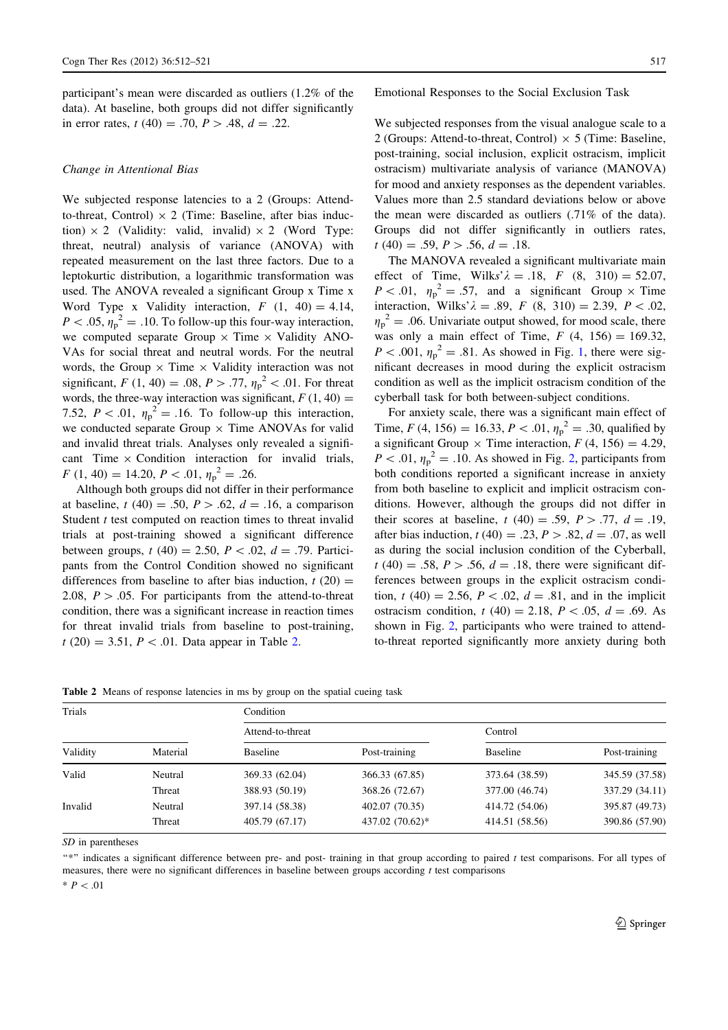participant's mean were discarded as outliers (1.2% of the data). At baseline, both groups did not differ significantly in error rates,  $t(40) = .70$ ,  $P > .48$ ,  $d = .22$ .

## Change in Attentional Bias

We subjected response latencies to a 2 (Groups: Attendto-threat, Control)  $\times$  2 (Time: Baseline, after bias induction)  $\times$  2 (Validity: valid, invalid)  $\times$  2 (Word Type: threat, neutral) analysis of variance (ANOVA) with repeated measurement on the last three factors. Due to a leptokurtic distribution, a logarithmic transformation was used. The ANOVA revealed a significant Group x Time x Word Type x Validity interaction,  $F(1, 40) = 4.14$ ,  $P < .05$ ,  $\eta_p^2 = .10$ . To follow-up this four-way interaction, we computed separate Group  $\times$  Time  $\times$  Validity ANO-VAs for social threat and neutral words. For the neutral words, the Group  $\times$  Time  $\times$  Validity interaction was not significant,  $F(1, 40) = .08$ ,  $P > .77$ ,  $\eta_p^2 < .01$ . For threat words, the three-way interaction was significant,  $F(1, 40) =$ 7.52,  $P < 0.01$ ,  $\eta_p^2 = 0.16$ . To follow-up this interaction, we conducted separate Group  $\times$  Time ANOVAs for valid and invalid threat trials. Analyses only revealed a significant Time  $\times$  Condition interaction for invalid trials,  $F(1, 40) = 14.20, P < .01, \eta_p^2 = .26.$ 

Although both groups did not differ in their performance at baseline,  $t(40) = .50, P > .62, d = .16, a comparison$ Student  $t$  test computed on reaction times to threat invalid trials at post-training showed a significant difference between groups,  $t(40) = 2.50$ ,  $P < .02$ ,  $d = .79$ . Participants from the Control Condition showed no significant differences from baseline to after bias induction,  $t(20) =$ 2.08,  $P > .05$ . For participants from the attend-to-threat condition, there was a significant increase in reaction times for threat invalid trials from baseline to post-training,  $t(20) = 3.51, P < 0.01$ . Data appear in Table 2.

Emotional Responses to the Social Exclusion Task

We subjected responses from the visual analogue scale to a 2 (Groups: Attend-to-threat, Control)  $\times$  5 (Time: Baseline, post-training, social inclusion, explicit ostracism, implicit ostracism) multivariate analysis of variance (MANOVA) for mood and anxiety responses as the dependent variables. Values more than 2.5 standard deviations below or above the mean were discarded as outliers (.71% of the data). Groups did not differ significantly in outliers rates,  $t(40) = .59, P > .56, d = .18.$ 

The MANOVA revealed a significant multivariate main effect of Time, Wilks' $\lambda = .18$ , F (8, 310) = 52.07,  $P < .01$ ,  $\eta_p^2 = .57$ , and a significant Group  $\times$  Time interaction, Wilks' $\lambda = .89$ , F (8, 310) = 2.39, P < .02,  $\eta_p^2$  = .06. Univariate output showed, for mood scale, there was only a main effect of Time,  $F(4, 156) = 169.32$ ,  $P < .001$ ,  $\eta_p^2 = .81$ . As showed in Fig. 1, there were significant decreases in mood during the explicit ostracism condition as well as the implicit ostracism condition of the cyberball task for both between-subject conditions.

For anxiety scale, there was a significant main effect of Time,  $F(4, 156) = 16.33, P < .01, \eta_p^2 = .30$ , qualified by a significant Group  $\times$  Time interaction,  $F$  (4, 156) = 4.29,  $P < .01$ ,  $\eta_p^2 = .10$ . As showed in Fig. 2, participants from both conditions reported a significant increase in anxiety from both baseline to explicit and implicit ostracism conditions. However, although the groups did not differ in their scores at baseline,  $t(40) = .59$ ,  $P > .77$ ,  $d = .19$ , after bias induction,  $t(40) = .23, P > .82, d = .07$ , as well as during the social inclusion condition of the Cyberball,  $t(40) = .58, P > .56, d = .18$ , there were significant differences between groups in the explicit ostracism condition,  $t(40) = 2.56$ ,  $P < .02$ ,  $d = .81$ , and in the implicit ostracism condition,  $t(40) = 2.18$ ,  $P \lt .05$ ,  $d = .69$ . As shown in Fig. 2, participants who were trained to attendto-threat reported significantly more anxiety during both

|  |  |  |  |  |  |  |  | Table 2 Means of response latencies in ms by group on the spatial cueing task |
|--|--|--|--|--|--|--|--|-------------------------------------------------------------------------------|
|--|--|--|--|--|--|--|--|-------------------------------------------------------------------------------|

| Trials   |          | Condition        |                 |                 |                |  |  |  |
|----------|----------|------------------|-----------------|-----------------|----------------|--|--|--|
|          |          | Attend-to-threat |                 |                 | Control        |  |  |  |
| Validity | Material | <b>Baseline</b>  | Post-training   | <b>Baseline</b> | Post-training  |  |  |  |
| Valid    | Neutral  | 369.33 (62.04)   | 366.33 (67.85)  | 373.64 (38.59)  | 345.59 (37.58) |  |  |  |
|          | Threat   | 388.93 (50.19)   | 368.26 (72.67)  | 377.00 (46.74)  | 337.29 (34.11) |  |  |  |
| Invalid  | Neutral  | 397.14 (58.38)   | 402.07 (70.35)  | 414.72 (54.06)  | 395.87 (49.73) |  |  |  |
|          | Threat   | 405.79 (67.17)   | 437.02 (70.62)* | 414.51 (58.56)  | 390.86 (57.90) |  |  |  |

SD in parentheses

''\*'' indicates a significant difference between pre- and post- training in that group according to paired t test comparisons. For all types of measures, there were no significant differences in baseline between groups according  $t$  test comparisons

 $* \, P < .01$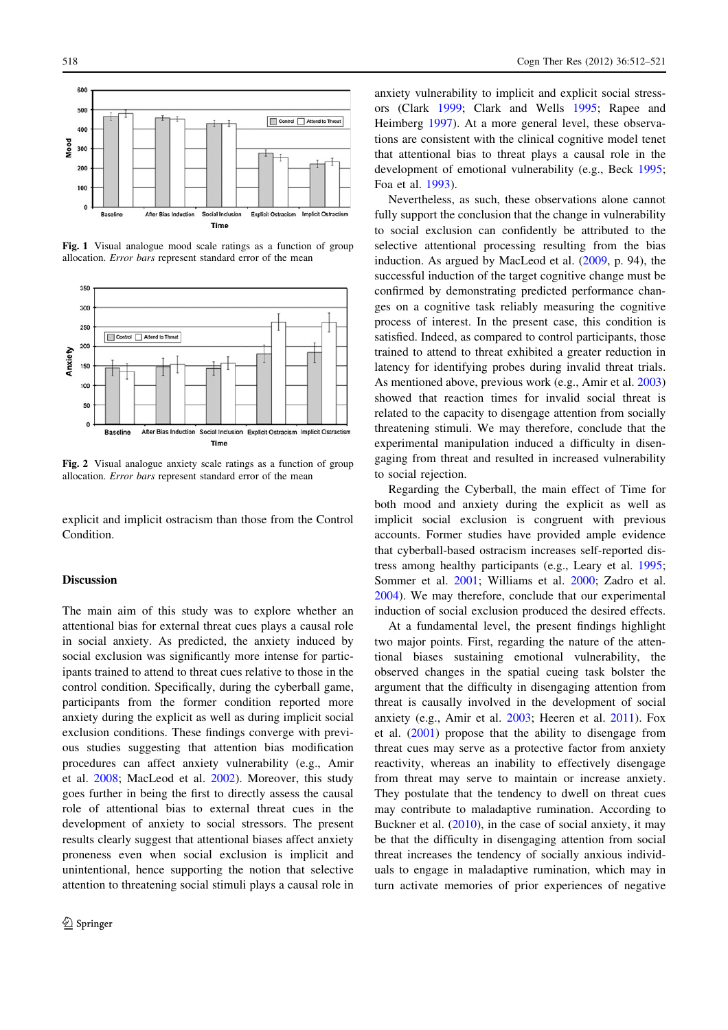

Fig. 1 Visual analogue mood scale ratings as a function of group allocation. Error bars represent standard error of the mean



Fig. 2 Visual analogue anxiety scale ratings as a function of group allocation. Error bars represent standard error of the mean

explicit and implicit ostracism than those from the Control Condition.

#### **Discussion**

The main aim of this study was to explore whether an attentional bias for external threat cues plays a causal role in social anxiety. As predicted, the anxiety induced by social exclusion was significantly more intense for participants trained to attend to threat cues relative to those in the control condition. Specifically, during the cyberball game, participants from the former condition reported more anxiety during the explicit as well as during implicit social exclusion conditions. These findings converge with previous studies suggesting that attention bias modification procedures can affect anxiety vulnerability (e.g., Amir et al. 2008; MacLeod et al. 2002). Moreover, this study goes further in being the first to directly assess the causal role of attentional bias to external threat cues in the development of anxiety to social stressors. The present results clearly suggest that attentional biases affect anxiety proneness even when social exclusion is implicit and unintentional, hence supporting the notion that selective attention to threatening social stimuli plays a causal role in anxiety vulnerability to implicit and explicit social stressors (Clark 1999; Clark and Wells 1995; Rapee and Heimberg 1997). At a more general level, these observations are consistent with the clinical cognitive model tenet that attentional bias to threat plays a causal role in the development of emotional vulnerability (e.g., Beck 1995; Foa et al. 1993).

Nevertheless, as such, these observations alone cannot fully support the conclusion that the change in vulnerability to social exclusion can confidently be attributed to the selective attentional processing resulting from the bias induction. As argued by MacLeod et al. (2009, p. 94), the successful induction of the target cognitive change must be confirmed by demonstrating predicted performance changes on a cognitive task reliably measuring the cognitive process of interest. In the present case, this condition is satisfied. Indeed, as compared to control participants, those trained to attend to threat exhibited a greater reduction in latency for identifying probes during invalid threat trials. As mentioned above, previous work (e.g., Amir et al. 2003) showed that reaction times for invalid social threat is related to the capacity to disengage attention from socially threatening stimuli. We may therefore, conclude that the experimental manipulation induced a difficulty in disengaging from threat and resulted in increased vulnerability to social rejection.

Regarding the Cyberball, the main effect of Time for both mood and anxiety during the explicit as well as implicit social exclusion is congruent with previous accounts. Former studies have provided ample evidence that cyberball-based ostracism increases self-reported distress among healthy participants (e.g., Leary et al. 1995; Sommer et al. 2001; Williams et al. 2000; Zadro et al. 2004). We may therefore, conclude that our experimental induction of social exclusion produced the desired effects.

At a fundamental level, the present findings highlight two major points. First, regarding the nature of the attentional biases sustaining emotional vulnerability, the observed changes in the spatial cueing task bolster the argument that the difficulty in disengaging attention from threat is causally involved in the development of social anxiety (e.g., Amir et al. 2003; Heeren et al. 2011). Fox et al. (2001) propose that the ability to disengage from threat cues may serve as a protective factor from anxiety reactivity, whereas an inability to effectively disengage from threat may serve to maintain or increase anxiety. They postulate that the tendency to dwell on threat cues may contribute to maladaptive rumination. According to Buckner et al. (2010), in the case of social anxiety, it may be that the difficulty in disengaging attention from social threat increases the tendency of socially anxious individuals to engage in maladaptive rumination, which may in turn activate memories of prior experiences of negative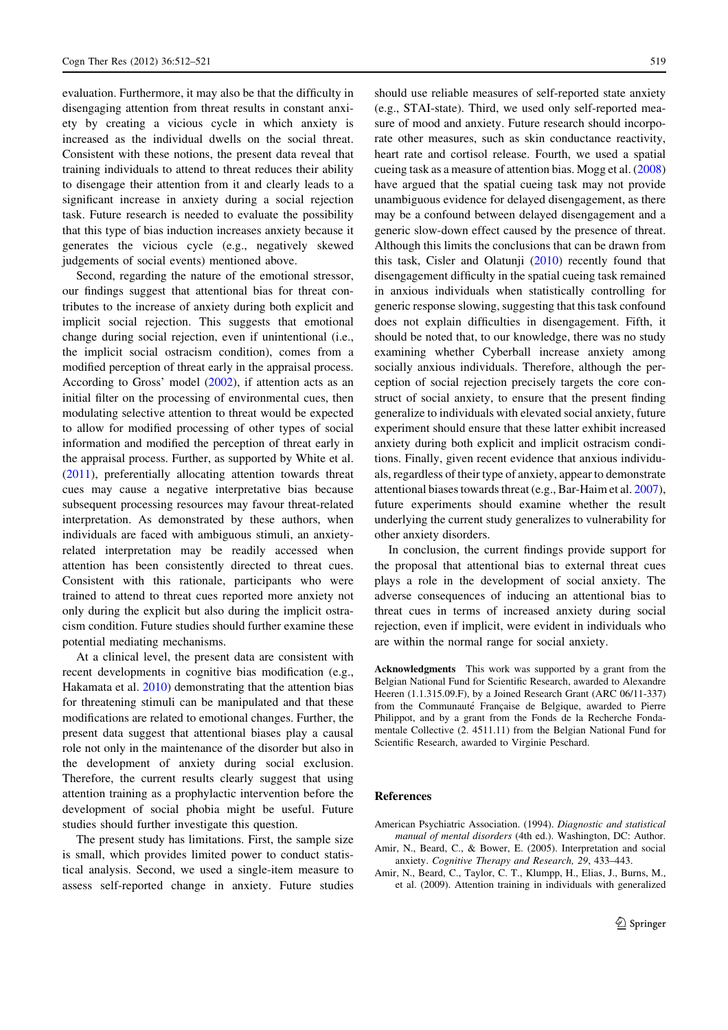evaluation. Furthermore, it may also be that the difficulty in disengaging attention from threat results in constant anxiety by creating a vicious cycle in which anxiety is increased as the individual dwells on the social threat. Consistent with these notions, the present data reveal that training individuals to attend to threat reduces their ability to disengage their attention from it and clearly leads to a significant increase in anxiety during a social rejection task. Future research is needed to evaluate the possibility that this type of bias induction increases anxiety because it generates the vicious cycle (e.g., negatively skewed judgements of social events) mentioned above.

Second, regarding the nature of the emotional stressor, our findings suggest that attentional bias for threat contributes to the increase of anxiety during both explicit and implicit social rejection. This suggests that emotional change during social rejection, even if unintentional (i.e., the implicit social ostracism condition), comes from a modified perception of threat early in the appraisal process. According to Gross' model (2002), if attention acts as an initial filter on the processing of environmental cues, then modulating selective attention to threat would be expected to allow for modified processing of other types of social information and modified the perception of threat early in the appraisal process. Further, as supported by White et al. (2011), preferentially allocating attention towards threat cues may cause a negative interpretative bias because subsequent processing resources may favour threat-related interpretation. As demonstrated by these authors, when individuals are faced with ambiguous stimuli, an anxietyrelated interpretation may be readily accessed when attention has been consistently directed to threat cues. Consistent with this rationale, participants who were trained to attend to threat cues reported more anxiety not only during the explicit but also during the implicit ostracism condition. Future studies should further examine these potential mediating mechanisms.

At a clinical level, the present data are consistent with recent developments in cognitive bias modification (e.g., Hakamata et al. 2010) demonstrating that the attention bias for threatening stimuli can be manipulated and that these modifications are related to emotional changes. Further, the present data suggest that attentional biases play a causal role not only in the maintenance of the disorder but also in the development of anxiety during social exclusion. Therefore, the current results clearly suggest that using attention training as a prophylactic intervention before the development of social phobia might be useful. Future studies should further investigate this question.

The present study has limitations. First, the sample size is small, which provides limited power to conduct statistical analysis. Second, we used a single-item measure to assess self-reported change in anxiety. Future studies should use reliable measures of self-reported state anxiety (e.g., STAI-state). Third, we used only self-reported measure of mood and anxiety. Future research should incorporate other measures, such as skin conductance reactivity, heart rate and cortisol release. Fourth, we used a spatial cueing task as a measure of attention bias. Mogg et al. (2008) have argued that the spatial cueing task may not provide unambiguous evidence for delayed disengagement, as there may be a confound between delayed disengagement and a generic slow-down effect caused by the presence of threat. Although this limits the conclusions that can be drawn from this task, Cisler and Olatunji (2010) recently found that disengagement difficulty in the spatial cueing task remained in anxious individuals when statistically controlling for generic response slowing, suggesting that this task confound does not explain difficulties in disengagement. Fifth, it should be noted that, to our knowledge, there was no study examining whether Cyberball increase anxiety among socially anxious individuals. Therefore, although the perception of social rejection precisely targets the core construct of social anxiety, to ensure that the present finding generalize to individuals with elevated social anxiety, future experiment should ensure that these latter exhibit increased anxiety during both explicit and implicit ostracism conditions. Finally, given recent evidence that anxious individuals, regardless of their type of anxiety, appear to demonstrate attentional biases towards threat (e.g., Bar-Haim et al. 2007), future experiments should examine whether the result underlying the current study generalizes to vulnerability for other anxiety disorders.

In conclusion, the current findings provide support for the proposal that attentional bias to external threat cues plays a role in the development of social anxiety. The adverse consequences of inducing an attentional bias to threat cues in terms of increased anxiety during social rejection, even if implicit, were evident in individuals who are within the normal range for social anxiety.

Acknowledgments This work was supported by a grant from the Belgian National Fund for Scientific Research, awarded to Alexandre Heeren (1.1.315.09.F), by a Joined Research Grant (ARC 06/11-337) from the Communauté Française de Belgique, awarded to Pierre Philippot, and by a grant from the Fonds de la Recherche Fondamentale Collective (2. 4511.11) from the Belgian National Fund for Scientific Research, awarded to Virginie Peschard.

## References

American Psychiatric Association. (1994). Diagnostic and statistical manual of mental disorders (4th ed.). Washington, DC: Author.

- Amir, N., Beard, C., & Bower, E. (2005). Interpretation and social anxiety. Cognitive Therapy and Research, 29, 433–443.
- Amir, N., Beard, C., Taylor, C. T., Klumpp, H., Elias, J., Burns, M., et al. (2009). Attention training in individuals with generalized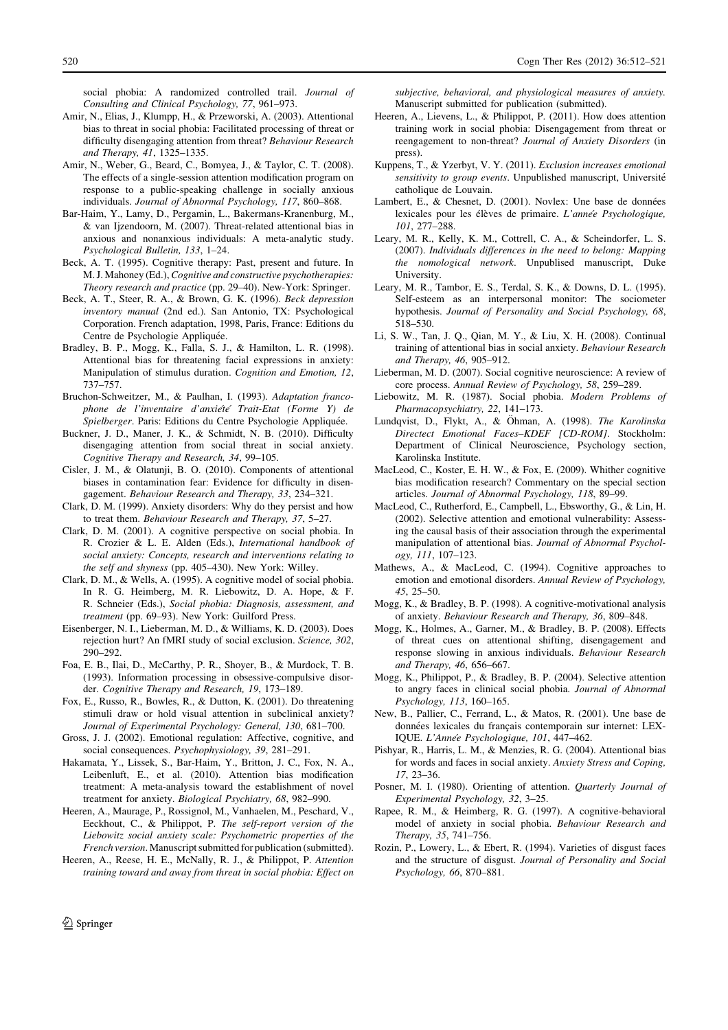social phobia: A randomized controlled trail. Journal of Consulting and Clinical Psychology, 77, 961–973.

- Amir, N., Elias, J., Klumpp, H., & Przeworski, A. (2003). Attentional bias to threat in social phobia: Facilitated processing of threat or difficulty disengaging attention from threat? Behaviour Research and Therapy, 41, 1325–1335.
- Amir, N., Weber, G., Beard, C., Bomyea, J., & Taylor, C. T. (2008). The effects of a single-session attention modification program on response to a public-speaking challenge in socially anxious individuals. Journal of Abnormal Psychology, 117, 860–868.
- Bar-Haim, Y., Lamy, D., Pergamin, L., Bakermans-Kranenburg, M., & van Ijzendoorn, M. (2007). Threat-related attentional bias in anxious and nonanxious individuals: A meta-analytic study. Psychological Bulletin, 133, 1–24.
- Beck, A. T. (1995). Cognitive therapy: Past, present and future. In M. J. Mahoney (Ed.), Cognitive and constructive psychotherapies: Theory research and practice (pp. 29–40). New-York: Springer.
- Beck, A. T., Steer, R. A., & Brown, G. K. (1996). Beck depression inventory manual (2nd ed.). San Antonio, TX: Psychological Corporation. French adaptation, 1998, Paris, France: Editions du Centre de Psychologie Appliquée.
- Bradley, B. P., Mogg, K., Falla, S. J., & Hamilton, L. R. (1998). Attentional bias for threatening facial expressions in anxiety: Manipulation of stimulus duration. Cognition and Emotion, 12, 737–757.
- Bruchon-Schweitzer, M., & Paulhan, I. (1993). Adaptation francophone de l'inventaire d'anxiété Trait-Etat (Forme Y) de Spielberger. Paris: Editions du Centre Psychologie Appliquée.
- Buckner, J. D., Maner, J. K., & Schmidt, N. B. (2010). Difficulty disengaging attention from social threat in social anxiety. Cognitive Therapy and Research, 34, 99–105.
- Cisler, J. M., & Olatunji, B. O. (2010). Components of attentional biases in contamination fear: Evidence for difficulty in disengagement. Behaviour Research and Therapy, 33, 234–321.
- Clark, D. M. (1999). Anxiety disorders: Why do they persist and how to treat them. Behaviour Research and Therapy, 37, 5–27.
- Clark, D. M. (2001). A cognitive perspective on social phobia. In R. Crozier & L. E. Alden (Eds.), International handbook of social anxiety: Concepts, research and interventions relating to the self and shyness (pp. 405–430). New York: Willey.
- Clark, D. M., & Wells, A. (1995). A cognitive model of social phobia. In R. G. Heimberg, M. R. Liebowitz, D. A. Hope, & F. R. Schneier (Eds.), Social phobia: Diagnosis, assessment, and treatment (pp. 69–93). New York: Guilford Press.
- Eisenberger, N. I., Lieberman, M. D., & Williams, K. D. (2003). Does rejection hurt? An fMRI study of social exclusion. Science, 302, 290–292.
- Foa, E. B., Ilai, D., McCarthy, P. R., Shoyer, B., & Murdock, T. B. (1993). Information processing in obsessive-compulsive disorder. Cognitive Therapy and Research, 19, 173–189.
- Fox, E., Russo, R., Bowles, R., & Dutton, K. (2001). Do threatening stimuli draw or hold visual attention in subclinical anxiety? Journal of Experimental Psychology: General, 130, 681–700.
- Gross, J. J. (2002). Emotional regulation: Affective, cognitive, and social consequences. Psychophysiology, 39, 281–291.
- Hakamata, Y., Lissek, S., Bar-Haim, Y., Britton, J. C., Fox, N. A., Leibenluft, E., et al. (2010). Attention bias modification treatment: A meta-analysis toward the establishment of novel treatment for anxiety. Biological Psychiatry, 68, 982–990.
- Heeren, A., Maurage, P., Rossignol, M., Vanhaelen, M., Peschard, V., Eeckhout, C., & Philippot, P. The self-report version of the Liebowitz social anxiety scale: Psychometric properties of the French version. Manuscript submitted for publication (submitted).
- Heeren, A., Reese, H. E., McNally, R. J., & Philippot, P. Attention training toward and away from threat in social phobia: Effect on

subjective, behavioral, and physiological measures of anxiety. Manuscript submitted for publication (submitted).

- Heeren, A., Lievens, L., & Philippot, P. (2011). How does attention training work in social phobia: Disengagement from threat or reengagement to non-threat? Journal of Anxiety Disorders (in press).
- Kuppens, T., & Yzerbyt, V. Y. (2011). Exclusion increases emotional sensitivity to group events. Unpublished manuscript, Université catholique de Louvain.
- Lambert, E., & Chesnet, D. (2001). Novlex: Une base de données lexicales pour les élèves de primaire. L'année Psychologique, 101, 277–288.
- Leary, M. R., Kelly, K. M., Cottrell, C. A., & Scheindorfer, L. S. (2007). Individuals differences in the need to belong: Mapping the nomological network. Unpublised manuscript, Duke University.
- Leary, M. R., Tambor, E. S., Terdal, S. K., & Downs, D. L. (1995). Self-esteem as an interpersonal monitor: The sociometer hypothesis. Journal of Personality and Social Psychology, 68, 518–530.
- Li, S. W., Tan, J. Q., Qian, M. Y., & Liu, X. H. (2008). Continual training of attentional bias in social anxiety. Behaviour Research and Therapy, 46, 905–912.
- Lieberman, M. D. (2007). Social cognitive neuroscience: A review of core process. Annual Review of Psychology, 58, 259–289.
- Liebowitz, M. R. (1987). Social phobia. Modern Problems of Pharmacopsychiatry, 22, 141-173.
- Lundqvist, D., Flykt, A., & Öhman, A. (1998). The Karolinska Directect Emotional Faces–KDEF [CD-ROM]. Stockholm: Department of Clinical Neuroscience, Psychology section, Karolinska Institute.
- MacLeod, C., Koster, E. H. W., & Fox, E. (2009). Whither cognitive bias modification research? Commentary on the special section articles. Journal of Abnormal Psychology, 118, 89–99.
- MacLeod, C., Rutherford, E., Campbell, L., Ebsworthy, G., & Lin, H. (2002). Selective attention and emotional vulnerability: Assessing the causal basis of their association through the experimental manipulation of attentional bias. Journal of Abnormal Psychology, 111, 107–123.
- Mathews, A., & MacLeod, C. (1994). Cognitive approaches to emotion and emotional disorders. Annual Review of Psychology, 45, 25–50.
- Mogg, K., & Bradley, B. P. (1998). A cognitive-motivational analysis of anxiety. Behaviour Research and Therapy, 36, 809–848.
- Mogg, K., Holmes, A., Garner, M., & Bradley, B. P. (2008). Effects of threat cues on attentional shifting, disengagement and response slowing in anxious individuals. Behaviour Research and Therapy, 46, 656–667.
- Mogg, K., Philippot, P., & Bradley, B. P. (2004). Selective attention to angry faces in clinical social phobia. Journal of Abnormal Psychology, 113, 160–165.
- New, B., Pallier, C., Ferrand, L., & Matos, R. (2001). Une base de données lexicales du français contemporain sur internet: LEX-IQUE. L'Année Psychologique, 101, 447-462.
- Pishyar, R., Harris, L. M., & Menzies, R. G. (2004). Attentional bias for words and faces in social anxiety. Anxiety Stress and Coping, 17, 23–36.
- Posner, M. I. (1980). Orienting of attention. Quarterly Journal of Experimental Psychology, 32, 3–25.
- Rapee, R. M., & Heimberg, R. G. (1997). A cognitive-behavioral model of anxiety in social phobia. Behaviour Research and Therapy, 35, 741–756.
- Rozin, P., Lowery, L., & Ebert, R. (1994). Varieties of disgust faces and the structure of disgust. Journal of Personality and Social Psychology, 66, 870–881.